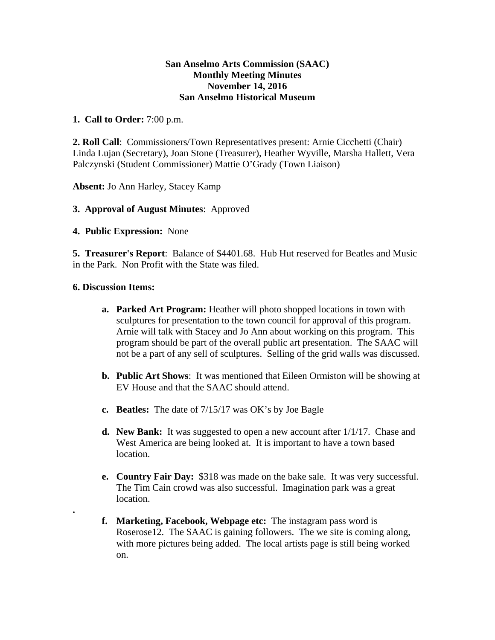## **San Anselmo Arts Commission (SAAC) Monthly Meeting Minutes November 14, 2016 San Anselmo Historical Museum**

## **1. Call to Order:** 7:00 p.m.

**2. Roll Call**: Commissioners/Town Representatives present: Arnie Cicchetti (Chair) Linda Lujan (Secretary), Joan Stone (Treasurer), Heather Wyville, Marsha Hallett, Vera Palczynski (Student Commissioner) Mattie O'Grady (Town Liaison)

**Absent:** Jo Ann Harley, Stacey Kamp

# **3. Approval of August Minutes**: Approved

### **4. Public Expression:** None

**5. Treasurer's Report**: Balance of \$4401.68. Hub Hut reserved for Beatles and Music in the Park. Non Profit with the State was filed.

### **6. Discussion Items:**

**.** 

- **a. Parked Art Program:** Heather will photo shopped locations in town with sculptures for presentation to the town council for approval of this program. Arnie will talk with Stacey and Jo Ann about working on this program. This program should be part of the overall public art presentation. The SAAC will not be a part of any sell of sculptures. Selling of the grid walls was discussed.
- **b. Public Art Shows**: It was mentioned that Eileen Ormiston will be showing at EV House and that the SAAC should attend.
- **c. Beatles:** The date of 7/15/17 was OK's by Joe Bagle
- **d. New Bank:** It was suggested to open a new account after 1/1/17. Chase and West America are being looked at. It is important to have a town based location.
- **e. Country Fair Day:** \$318 was made on the bake sale. It was very successful. The Tim Cain crowd was also successful. Imagination park was a great location.
- **f. Marketing, Facebook, Webpage etc:** The instagram pass word is Roserose12. The SAAC is gaining followers. The we site is coming along, with more pictures being added. The local artists page is still being worked on.